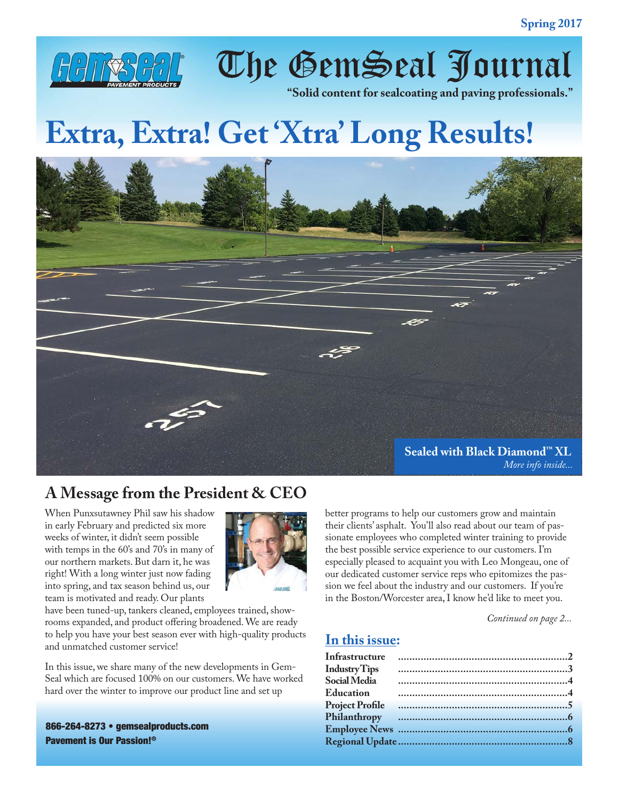

The GemSeal Journal

**"Solid content for sealcoating and paving professionals."**

# **Extra, Extra! Get 'Xtra' Long Results!**



# **A Message from the President & CEO**

When Punxsutawney Phil saw his shadow in early February and predicted six more weeks of winter, it didn't seem possible with temps in the 60's and 70's in many of our northern markets. But darn it, he was right! With a long winter just now fading into spring, and tax season behind us, our team is motivated and ready. Our plants



have been tuned-up, tankers cleaned, employees trained, showrooms expanded, and product offering broadened. We are ready to help you have your best season ever with high-quality products and unmatched customer service!

In this issue, we share many of the new developments in Gem-Seal which are focused 100% on our customers. We have worked hard over the winter to improve our product line and set up

866-264-8273 • gemsealproducts.com Pavement is Our Passion!®

better programs to help our customers grow and maintain their clients' asphalt. You'll also read about our team of passionate employees who completed winter training to provide the best possible service experience to our customers. I'm especially pleased to acquaint you with Leo Mongeau, one of our dedicated customer service reps who epitomizes the passion we feel about the industry and our customers. If you're in the Boston/Worcester area, I know he'd like to meet you.

*Continued on page 2...*

#### **In this issue:**

| Infrastructure         |  |
|------------------------|--|
| <b>IndustryTips</b>    |  |
| Social Media           |  |
| <b>Education</b>       |  |
| <b>Project Profile</b> |  |
|                        |  |
|                        |  |
|                        |  |
|                        |  |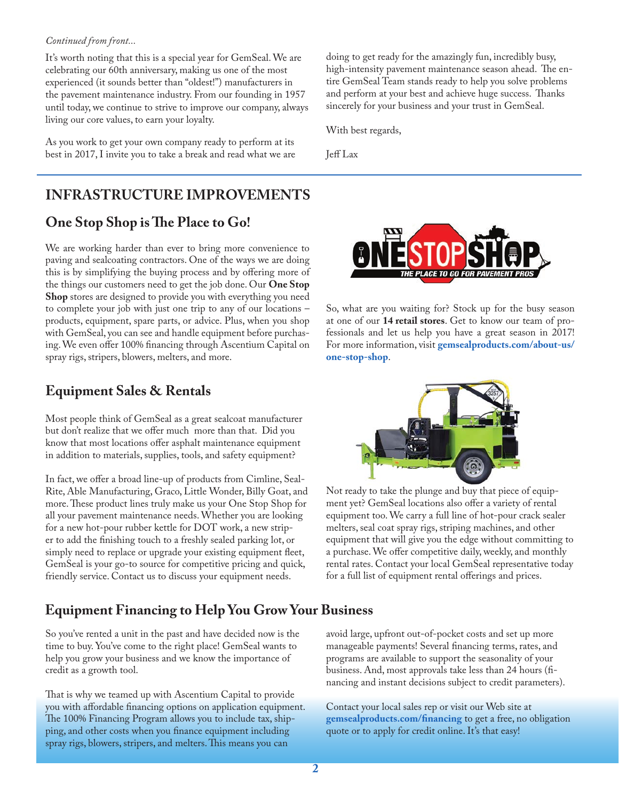#### *Continued from front...*

It's worth noting that this is a special year for GemSeal. We are celebrating our 60th anniversary, making us one of the most experienced (it sounds better than "oldest!") manufacturers in the pavement maintenance industry. From our founding in 1957 until today, we continue to strive to improve our company, always living our core values, to earn your loyalty.

As you work to get your own company ready to perform at its best in 2017, I invite you to take a break and read what we are doing to get ready for the amazingly fun, incredibly busy, high-intensity pavement maintenance season ahead. The entire GemSeal Team stands ready to help you solve problems and perform at your best and achieve huge success. Thanks sincerely for your business and your trust in GemSeal.

With best regards,

Jeff Lax

# **INFRASTRUCTURE IMPROVEMENTS**

### **One Stop Shop is The Place to Go!**

We are working harder than ever to bring more convenience to paving and sealcoating contractors. One of the ways we are doing this is by simplifying the buying process and by offering more of the things our customers need to get the job done. Our **One Stop Shop** stores are designed to provide you with everything you need to complete your job with just one trip to any of our locations – products, equipment, spare parts, or advice. Plus, when you shop with GemSeal, you can see and handle equipment before purchasing. We even offer 100% financing through Ascentium Capital on spray rigs, stripers, blowers, melters, and more.

#### **Equipment Sales & Rentals**

Most people think of GemSeal as a great sealcoat manufacturer but don't realize that we offer much more than that. Did you know that most locations offer asphalt maintenance equipment in addition to materials, supplies, tools, and safety equipment?

In fact, we offer a broad line-up of products from Cimline, Seal-Rite, Able Manufacturing, Graco, Little Wonder, Billy Goat, and more. These product lines truly make us your One Stop Shop for all your pavement maintenance needs. Whether you are looking for a new hot-pour rubber kettle for DOT work, a new striper to add the finishing touch to a freshly sealed parking lot, or simply need to replace or upgrade your existing equipment fleet, GemSeal is your go-to source for competitive pricing and quick, friendly service. Contact us to discuss your equipment needs.

# **Equipment Financing to Help You Grow Your Business**

So you've rented a unit in the past and have decided now is the time to buy. You've come to the right place! GemSeal wants to help you grow your business and we know the importance of credit as a growth tool.

That is why we teamed up with Ascentium Capital to provide you with affordable financing options on application equipment. The 100% Financing Program allows you to include tax, shipping, and other costs when you finance equipment including spray rigs, blowers, stripers, and melters. This means you can



So, what are you waiting for? Stock up for the busy season at one of our **14 retail stores**. Get to know our team of professionals and let us help you have a great season in 2017! For more information, visit **[gemsealproducts.com/about-us/](https://www.gemsealproducts.com/about-us/one-stop-shop/) [one-stop-shop](https://www.gemsealproducts.com/about-us/one-stop-shop/)**.



Not ready to take the plunge and buy that piece of equipment yet? GemSeal locations also offer a variety of rental equipment too. We carry a full line of hot-pour crack sealer melters, seal coat spray rigs, striping machines, and other equipment that will give you the edge without committing to a purchase. We offer competitive daily, weekly, and monthly rental rates. Contact your local GemSeal representative today for a full list of equipment rental offerings and prices.

avoid large, upfront out-of-pocket costs and set up more manageable payments! Several financing terms, rates, and programs are available to support the seasonality of your business. And, most approvals take less than 24 hours (financing and instant decisions subject to credit parameters).

Contact your local sales rep or visit our Web site at **[gemsealproducts.com/financing](https://www.gemsealproducts.com/financing/)** to get a free, no obligation quote or to apply for credit online. It's that easy!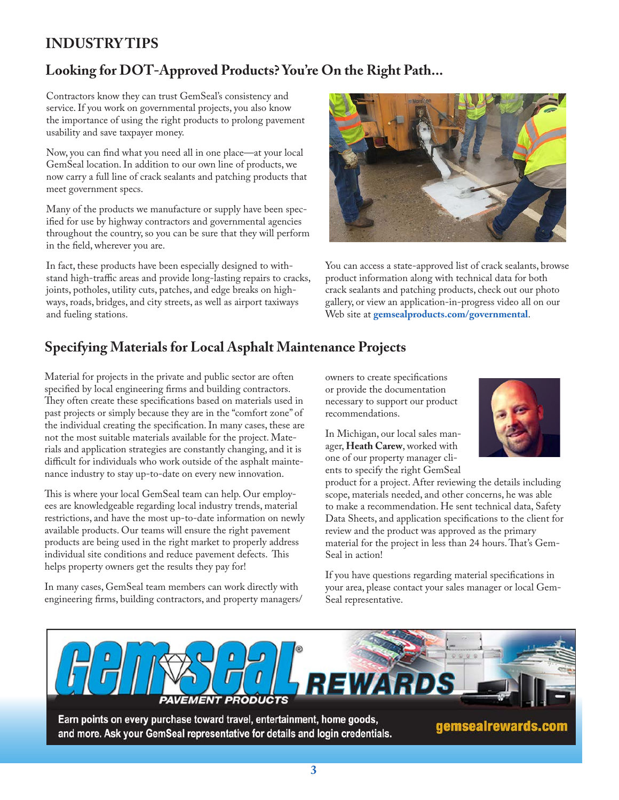# **INDUSTRY TIPS**

## **Looking for DOT-Approved Products? You're On the Right Path...**

Contractors know they can trust GemSeal's consistency and service. If you work on governmental projects, you also know the importance of using the right products to prolong pavement usability and save taxpayer money.

Now, you can find what you need all in one place—at your local GemSeal location. In addition to our own line of products, we now carry a full line of crack sealants and patching products that meet government specs.

Many of the products we manufacture or supply have been specified for use by highway contractors and governmental agencies throughout the country, so you can be sure that they will perform in the field, wherever you are.

In fact, these products have been especially designed to withstand high-traffic areas and provide long-lasting repairs to cracks, joints, potholes, utility cuts, patches, and edge breaks on highways, roads, bridges, and city streets, as well as airport taxiways and fueling stations.



You can access a state-approved list of crack sealants, browse product information along with technical data for both crack sealants and patching products, check out our photo gallery, or view an application-in-progress video all on our Web site at **[gemsealproducts.com/governmental](https://www.gemsealproducts.com/governmental/)**.

### **Specifying Materials for Local Asphalt Maintenance Projects**

Material for projects in the private and public sector are often specified by local engineering firms and building contractors. They often create these specifications based on materials used in past projects or simply because they are in the "comfort zone" of the individual creating the specification. In many cases, these are not the most suitable materials available for the project. Materials and application strategies are constantly changing, and it is difficult for individuals who work outside of the asphalt maintenance industry to stay up-to-date on every new innovation.

This is where your local GemSeal team can help. Our employees are knowledgeable regarding local industry trends, material restrictions, and have the most up-to-date information on newly available products. Our teams will ensure the right pavement products are being used in the right market to properly address individual site conditions and reduce pavement defects. This helps property owners get the results they pay for!

In many cases, GemSeal team members can work directly with engineering firms, building contractors, and property managers/ owners to create specifications or provide the documentation necessary to support our product recommendations.

In Michigan, our local sales manager, **Heath Carew**, worked with one of our property manager clients to specify the right GemSeal

product for a project. After reviewing the details including scope, materials needed, and other concerns, he was able to make a recommendation. He sent technical data, Safety Data Sheets, and application specifications to the client for review and the product was approved as the primary material for the project in less than 24 hours. That's Gem-Seal in action!

If you have questions regarding material specifications in your area, please contact your sales manager or local Gem-Seal representative.



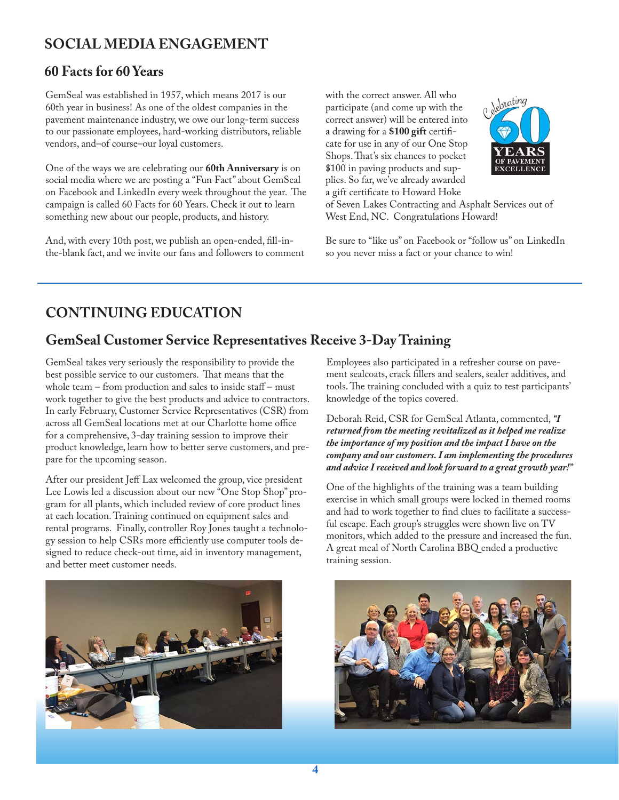### **SOCIAL MEDIA ENGAGEMENT**

#### **60 Facts for 60 Years**

GemSeal was established in 1957, which means 2017 is our 60th year in business! As one of the oldest companies in the pavement maintenance industry, we owe our long-term success to our passionate employees, hard-working distributors, reliable vendors, and–of course–our loyal customers.

One of the ways we are celebrating our **60th Anniversary** is on social media where we are posting a "Fun Fact" about GemSeal on Facebook and LinkedIn every week throughout the year. The campaign is called 60 Facts for 60 Years. Check it out to learn something new about our people, products, and history.

And, with every 10th post, we publish an open-ended, fill-inthe-blank fact, and we invite our fans and followers to comment with the correct answer. All who participate (and come up with the correct answer) will be entered into a drawing for a **\$100 gift** certificate for use in any of our One Stop Shops. That's six chances to pocket \$100 in paving products and supplies. So far, we've already awarded a gift certificate to Howard Hoke



of Seven Lakes Contracting and Asphalt Services out of West End, NC. Congratulations Howard!

Be sure to "like us" on Facebook or "follow us" on LinkedIn so you never miss a fact or your chance to win!

# **CONTINUING EDUCATION**

#### **GemSeal Customer Service Representatives Receive 3-Day Training**

GemSeal takes very seriously the responsibility to provide the best possible service to our customers. That means that the whole team – from production and sales to inside staff – must work together to give the best products and advice to contractors. In early February, Customer Service Representatives (CSR) from across all GemSeal locations met at our Charlotte home office for a comprehensive, 3-day training session to improve their product knowledge, learn how to better serve customers, and prepare for the upcoming season.

After our president Jeff Lax welcomed the group, vice president Lee Lowis led a discussion about our new "One Stop Shop" program for all plants, which included review of core product lines at each location. Training continued on equipment sales and rental programs. Finally, controller Roy Jones taught a technology session to help CSRs more efficiently use computer tools designed to reduce check-out time, aid in inventory management, and better meet customer needs.

Employees also participated in a refresher course on pavement sealcoats, crack fillers and sealers, sealer additives, and tools. The training concluded with a quiz to test participants' knowledge of the topics covered.

Deborah Reid, CSR for GemSeal Atlanta, commented, *"I returned from the meeting revitalized as it helped me realize the importance of my position and the impact I have on the company and our customers. I am implementing the procedures and advice I received and look forward to a great growth year!"*

One of the highlights of the training was a team building exercise in which small groups were locked in themed rooms and had to work together to find clues to facilitate a successful escape. Each group's struggles were shown live on TV monitors, which added to the pressure and increased the fun. A great meal of North Carolina BBQ ended a productive training session.



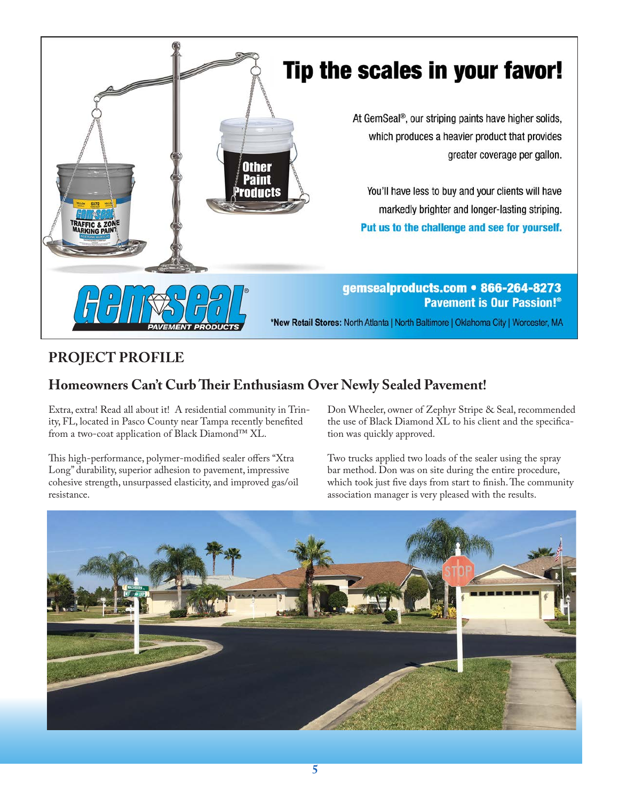

# **PROJECT PROFILE**

# **Homeowners Can't Curb Their Enthusiasm Over Newly Sealed Pavement!**

Extra, extra! Read all about it! A residential community in Trinity, FL, located in Pasco County near Tampa recently benefited from a two-coat application of Black Diamond™ XL.

This high-performance, polymer-modified sealer offers "Xtra Long" durability, superior adhesion to pavement, impressive cohesive strength, unsurpassed elasticity, and improved gas/oil resistance.

Don Wheeler, owner of Zephyr Stripe & Seal, recommended the use of Black Diamond XL to his client and the specification was quickly approved.

Two trucks applied two loads of the sealer using the spray bar method. Don was on site during the entire procedure, which took just five days from start to finish. The community association manager is very pleased with the results.

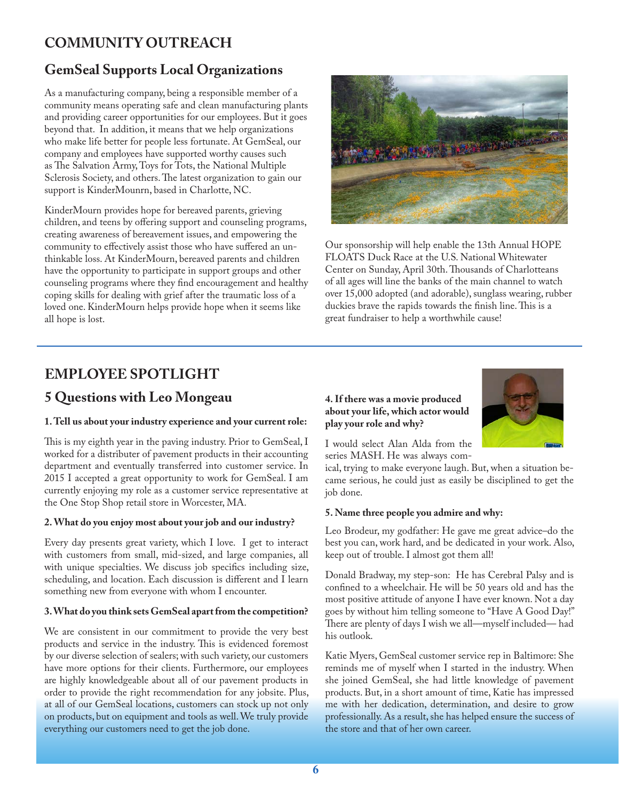# **COMMUNITY OUTREACH**

#### **GemSeal Supports Local Organizations**

As a manufacturing company, being a responsible member of a community means operating safe and clean manufacturing plants and providing career opportunities for our employees. But it goes beyond that. In addition, it means that we help organizations who make life better for people less fortunate. At GemSeal, our company and employees have supported worthy causes such as The Salvation Army, Toys for Tots, the National Multiple Sclerosis Society, and others. The latest organization to gain our support is KinderMounrn, based in Charlotte, NC.

KinderMourn provides hope for bereaved parents, grieving children, and teens by offering support and counseling programs, creating awareness of bereavement issues, and empowering the community to effectively assist those who have suffered an unthinkable loss. At KinderMourn, bereaved parents and children have the opportunity to participate in support groups and other counseling programs where they find encouragement and healthy coping skills for dealing with grief after the traumatic loss of a loved one. KinderMourn helps provide hope when it seems like all hope is lost.



Our sponsorship will help enable the 13th Annual HOPE FLOATS Duck Race at the U.S. National Whitewater Center on Sunday, April 30th. Thousands of Charlotteans of all ages will line the banks of the main channel to watch over 15,000 adopted (and adorable), sunglass wearing, rubber duckies brave the rapids towards the finish line. This is a great fundraiser to help a worthwhile cause!

### **EMPLOYEE SPOTLIGHT**

#### **5 Questions with Leo Mongeau 4. If there was a movie produced**

#### **1. Tell us about your industry experience and your current role:**

This is my eighth year in the paving industry. Prior to GemSeal, I worked for a distributer of pavement products in their accounting department and eventually transferred into customer service. In 2015 I accepted a great opportunity to work for GemSeal. I am currently enjoying my role as a customer service representative at the One Stop Shop retail store in Worcester, MA.

#### **2. What do you enjoy most about your job and our industry?**

Every day presents great variety, which I love. I get to interact with customers from small, mid-sized, and large companies, all with unique specialties. We discuss job specifics including size, scheduling, and location. Each discussion is different and I learn something new from everyone with whom I encounter.

#### **3. What do you think sets GemSeal apart from the competition?**

We are consistent in our commitment to provide the very best products and service in the industry. This is evidenced foremost by our diverse selection of sealers; with such variety, our customers have more options for their clients. Furthermore, our employees are highly knowledgeable about all of our pavement products in order to provide the right recommendation for any jobsite. Plus, at all of our GemSeal locations, customers can stock up not only on products, but on equipment and tools as well. We truly provide everything our customers need to get the job done.

# **about your life, which actor would play your role and why?**



I would select Alan Alda from the series MASH. He was always com-

ical, trying to make everyone laugh. But, when a situation became serious, he could just as easily be disciplined to get the job done.

#### **5. Name three people you admire and why:**

Leo Brodeur, my godfather: He gave me great advice–do the best you can, work hard, and be dedicated in your work. Also, keep out of trouble. I almost got them all!

Donald Bradway, my step-son: He has Cerebral Palsy and is confined to a wheelchair. He will be 50 years old and has the most positive attitude of anyone I have ever known. Not a day goes by without him telling someone to "Have A Good Day!" There are plenty of days I wish we all—myself included— had his outlook.

Katie Myers, GemSeal customer service rep in Baltimore: She reminds me of myself when I started in the industry. When she joined GemSeal, she had little knowledge of pavement products. But, in a short amount of time, Katie has impressed me with her dedication, determination, and desire to grow professionally. As a result, she has helped ensure the success of the store and that of her own career.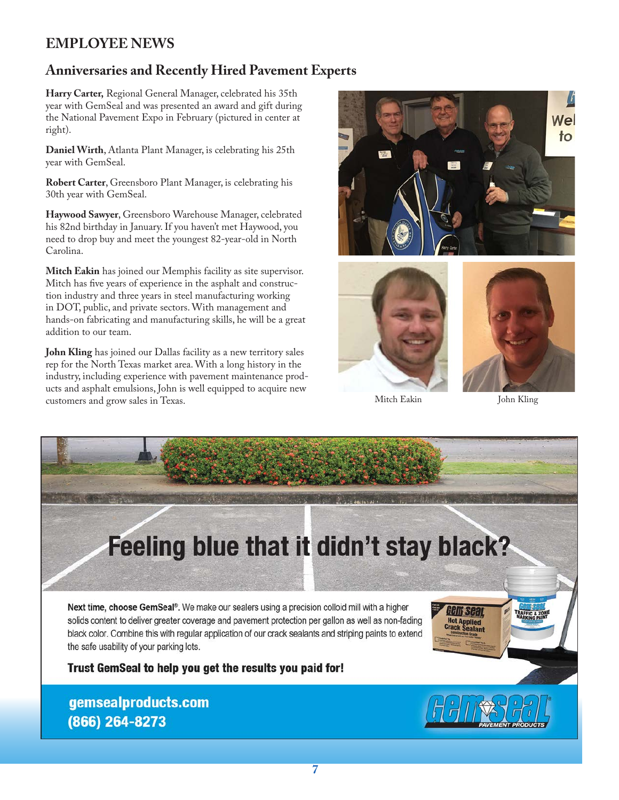## **EMPLOYEE NEWS**

#### **Anniversaries and Recently Hired Pavement Experts**

**Harry Carter,** Regional General Manager, celebrated his 35th year with GemSeal and was presented an award and gift during the National Pavement Expo in February (pictured in center at right).

**Daniel Wirth**, Atlanta Plant Manager, is celebrating his 25th year with GemSeal.

**Robert Carter**, Greensboro Plant Manager, is celebrating his 30th year with GemSeal.

**Haywood Sawyer**, Greensboro Warehouse Manager, celebrated his 82nd birthday in January. If you haven't met Haywood, you need to drop buy and meet the youngest 82-year-old in North Carolina.

**Mitch Eakin** has joined our Memphis facility as site supervisor. Mitch has five years of experience in the asphalt and construction industry and three years in steel manufacturing working in DOT, public, and private sectors. With management and hands-on fabricating and manufacturing skills, he will be a great addition to our team.

**John Kling** has joined our Dallas facility as a new territory sales rep for the North Texas market area. With a long history in the industry, including experience with pavement maintenance products and asphalt emulsions, John is well equipped to acquire new customers and grow sales in Texas.







Mitch Eakin John Kling